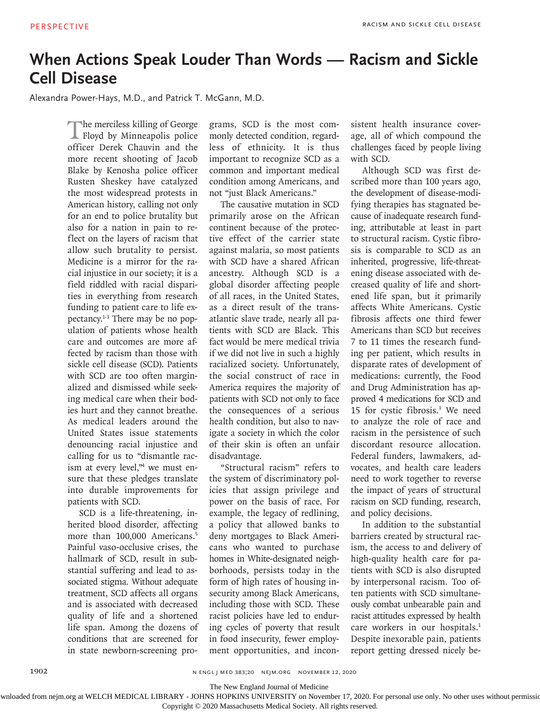# **When Actions Speak Louder Than Words — Racism and Sickle Cell Disease**

Alexandra Power‑Hays, M.D., and Patrick T. McGann, M.D.

The merciless killing of George<br>Floyd by Minneapolis police officer Derek Chauvin and the more recent shooting of Jacob Blake by Kenosha police officer Rusten Sheskey have catalyzed the most widespread protests in American history, calling not only for an end to police brutality but also for a nation in pain to reflect on the layers of racism that allow such brutality to persist. Medicine is a mirror for the racial injustice in our society; it is a field riddled with racial disparities in everything from research funding to patient care to life expectancy.1-3 There may be no population of patients whose health care and outcomes are more affected by racism than those with sickle cell disease (SCD). Patients with SCD are too often marginalized and dismissed while seeking medical care when their bodies hurt and they cannot breathe. As medical leaders around the United States issue statements denouncing racial injustice and calling for us to "dismantle racism at every level,"4 we must ensure that these pledges translate into durable improvements for patients with SCD.

SCD is a life-threatening, inherited blood disorder, affecting more than 100,000 Americans.<sup>5</sup> Painful vaso-occlusive crises, the hallmark of SCD, result in substantial suffering and lead to associated stigma. Without adequate treatment, SCD affects all organs and is associated with decreased quality of life and a shortened life span. Among the dozens of conditions that are screened for in state newborn-screening programs, SCD is the most commonly detected condition, regardless of ethnicity. It is thus important to recognize SCD as a common and important medical condition among Americans, and not "just Black Americans."

The causative mutation in SCD primarily arose on the African continent because of the protective effect of the carrier state against malaria, so most patients with SCD have a shared African ancestry. Although SCD is a global disorder affecting people of all races, in the United States, as a direct result of the transatlantic slave trade, nearly all patients with SCD are Black. This fact would be mere medical trivia if we did not live in such a highly racialized society. Unfortunately, the social construct of race in America requires the majority of patients with SCD not only to face the consequences of a serious health condition, but also to navigate a society in which the color of their skin is often an unfair disadvantage.

"Structural racism" refers to the system of discriminatory policies that assign privilege and power on the basis of race. For example, the legacy of redlining, a policy that allowed banks to deny mortgages to Black Americans who wanted to purchase homes in White-designated neighborhoods, persists today in the form of high rates of housing insecurity among Black Americans, including those with SCD. These racist policies have led to enduring cycles of poverty that result in food insecurity, fewer employment opportunities, and inconsistent health insurance coverage, all of which compound the challenges faced by people living with SCD.

Although SCD was first described more than 100 years ago, the development of disease-modifying therapies has stagnated because of inadequate research funding, attributable at least in part to structural racism. Cystic fibrosis is comparable to SCD as an inherited, progressive, life-threatening disease associated with decreased quality of life and shortened life span, but it primarily affects White Americans. Cystic fibrosis affects one third fewer Americans than SCD but receives 7 to 11 times the research funding per patient, which results in disparate rates of development of medications: currently, the Food and Drug Administration has approved 4 medications for SCD and 15 for cystic fibrosis.3 We need to analyze the role of race and racism in the persistence of such discordant resource allocation. Federal funders, lawmakers, advocates, and health care leaders need to work together to reverse the impact of years of structural racism on SCD funding, research, and policy decisions.

In addition to the substantial barriers created by structural racism, the access to and delivery of high-quality health care for patients with SCD is also disrupted by interpersonal racism. Too often patients with SCD simultaneously combat unbearable pain and racist attitudes expressed by health care workers in our hospitals.<sup>1</sup> Despite inexorable pain, patients report getting dressed nicely be-

n engl j med 383;20 nejm.org November 12, 2020

The New England Journal of Medicine

wnloaded from nejm.org at WELCH MEDICAL LIBRARY - JOHNS HOPKINS UNIVERSITY on November 17, 2020. For personal use only. No other uses without permissio

Copyright © 2020 Massachusetts Medical Society. All rights reserved.